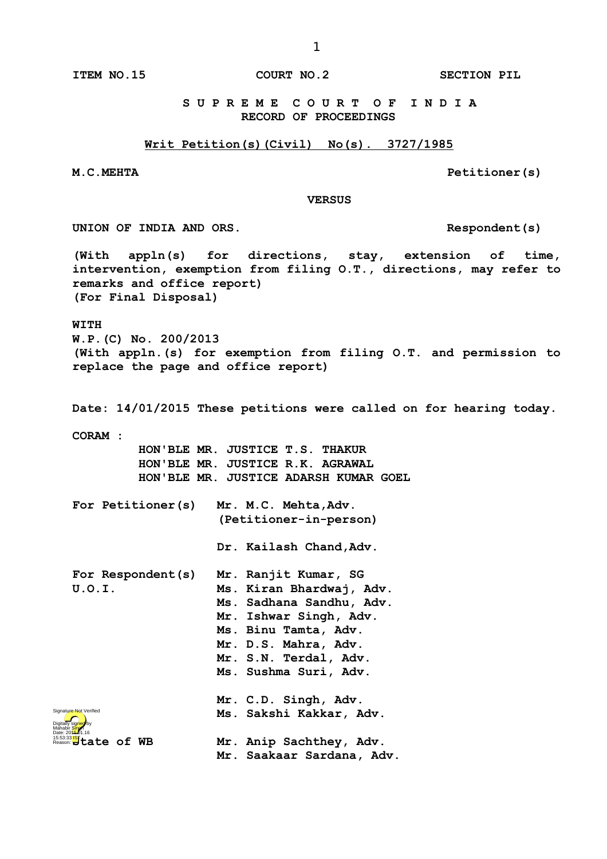**ITEM NO.15 COURT NO.2 SECTION PIL**

## **S U P R E M E C O U R T O F I N D I A RECORD OF PROCEEDINGS**

## **Writ Petition(s)(Civil) No(s). 3727/1985**

**M.C.MEHTA Petitioner(s)**

 **VERSUS**

UNION OF INDIA AND ORS. Respondent(s)

**(With appln(s) for directions, stay, extension of time, intervention, exemption from filing O.T., directions, may refer to remarks and office report) (For Final Disposal)**

**WITH**

**W.P.(C) No. 200/2013 (With appln.(s) for exemption from filing O.T. and permission to replace the page and office report)**

**Date: 14/01/2015 These petitions were called on for hearing today.**

**CORAM :** 

 **HON'BLE MR. JUSTICE T.S. THAKUR HON'BLE MR. JUSTICE R.K. AGRAWAL HON'BLE MR. JUSTICE ADARSH KUMAR GOEL**

**For Petitioner(s) Mr. M.C. Mehta,Adv. (Petitioner-in-person)**

 **Dr. Kailash Chand,Adv.**

**For Respondent(s) Mr. Ranjit Kumar, SG U.O.I. Ms. Kiran Bhardwaj, Adv. Ms. Sadhana Sandhu, Adv. Mr. Ishwar Singh, Adv. Ms. Binu Tamta, Adv. Mr. D.S. Mahra, Adv. Mr. S.N. Terdal, Adv. Ms. Sushma Suri, Adv. Mr. C.D. Singh, Adv. Ms. Sakshi Kakkar, Adv.** Digitally signed by Mahabir Singh Date: 2015.01.16 Signature Not Verified

**State of WB Mr. Anip Sachthey, Adv. Mr. Saakaar Sardana, Adv.** Itate of WB Reason: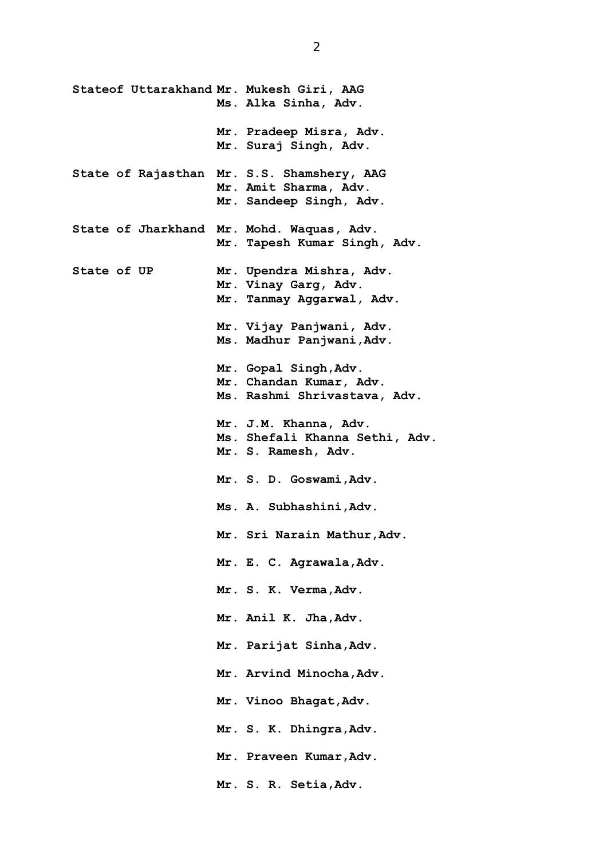**Stateof Uttarakhand Mr. Mukesh Giri, AAG Ms. Alka Sinha, Adv. Mr. Pradeep Misra, Adv. Mr. Suraj Singh, Adv. State of Rajasthan Mr. S.S. Shamshery, AAG Mr. Amit Sharma, Adv. Mr. Sandeep Singh, Adv. State of Jharkhand Mr. Mohd. Waquas, Adv. Mr. Tapesh Kumar Singh, Adv. State of UP Mr. Upendra Mishra, Adv. Mr. Vinay Garg, Adv. Mr. Tanmay Aggarwal, Adv. Mr. Vijay Panjwani, Adv. Ms. Madhur Panjwani,Adv. Mr. Gopal Singh,Adv. Mr. Chandan Kumar, Adv. Ms. Rashmi Shrivastava, Adv. Mr. J.M. Khanna, Adv. Ms. Shefali Khanna Sethi, Adv. Mr. S. Ramesh, Adv. Mr. S. D. Goswami,Adv. Ms. A. Subhashini,Adv. Mr. Sri Narain Mathur,Adv. Mr. E. C. Agrawala,Adv. Mr. S. K. Verma,Adv. Mr. Anil K. Jha,Adv. Mr. Parijat Sinha,Adv. Mr. Arvind Minocha,Adv. Mr. Vinoo Bhagat,Adv. Mr. S. K. Dhingra,Adv. Mr. Praveen Kumar,Adv. Mr. S. R. Setia,Adv.**

2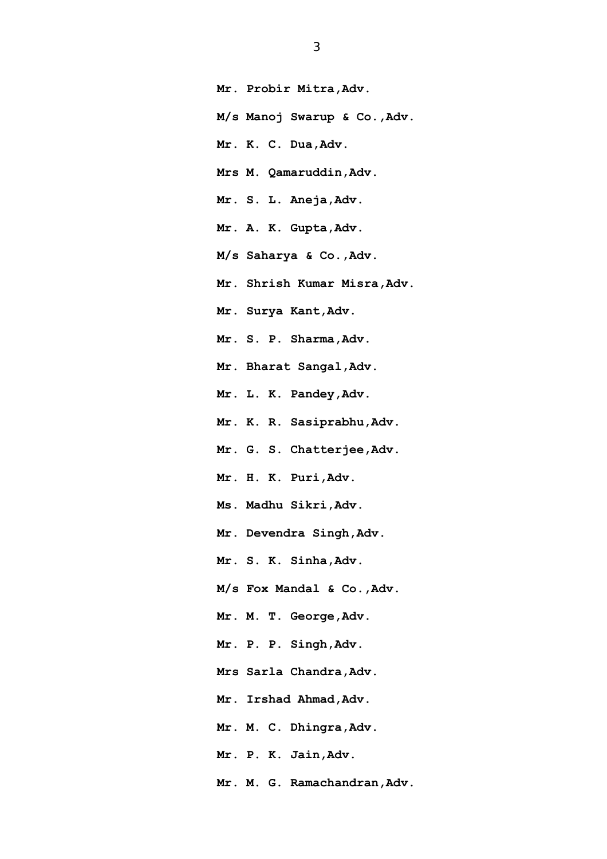- **Mr. Probir Mitra,Adv.**
- **M/s Manoj Swarup & Co.,Adv.**
- **Mr. K. C. Dua,Adv.**
- **Mrs M. Qamaruddin,Adv.**
- **Mr. S. L. Aneja,Adv.**
- **Mr. A. K. Gupta,Adv.**
- **M/s Saharya & Co.,Adv.**
- **Mr. Shrish Kumar Misra,Adv.**
- **Mr. Surya Kant,Adv.**
- **Mr. S. P. Sharma,Adv.**
- **Mr. Bharat Sangal,Adv.**
- **Mr. L. K. Pandey,Adv.**
- **Mr. K. R. Sasiprabhu,Adv.**
- **Mr. G. S. Chatterjee,Adv.**
- **Mr. H. K. Puri,Adv.**
- **Ms. Madhu Sikri,Adv.**
- **Mr. Devendra Singh,Adv.**
- **Mr. S. K. Sinha,Adv.**
- **M/s Fox Mandal & Co.,Adv.**
- **Mr. M. T. George,Adv.**
- **Mr. P. P. Singh,Adv.**
- **Mrs Sarla Chandra,Adv.**
- **Mr. Irshad Ahmad,Adv.**
- **Mr. M. C. Dhingra,Adv.**
- **Mr. P. K. Jain,Adv.**
- **Mr. M. G. Ramachandran,Adv.**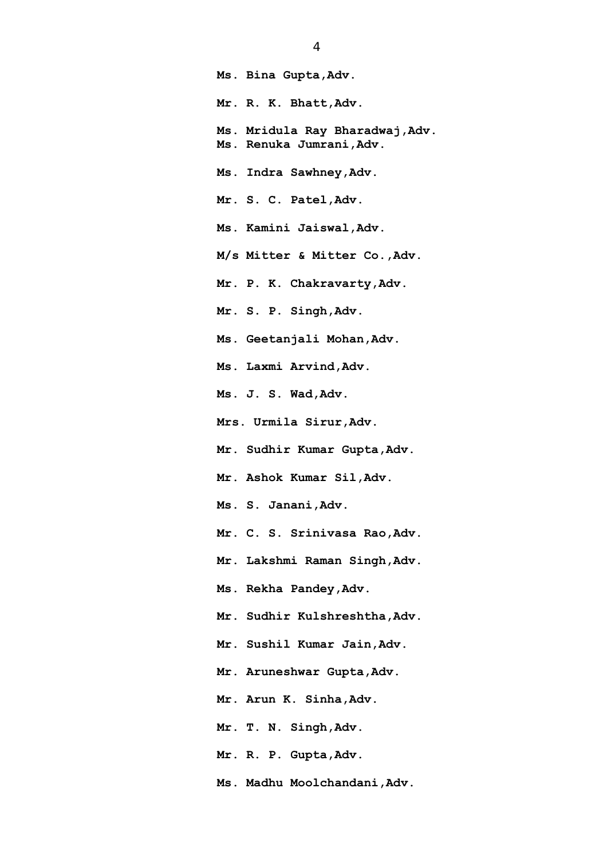**Ms. Bina Gupta,Adv. Mr. R. K. Bhatt,Adv. Ms. Mridula Ray Bharadwaj,Adv. Ms. Renuka Jumrani,Adv. Ms. Indra Sawhney,Adv. Mr. S. C. Patel,Adv. Ms. Kamini Jaiswal,Adv. M/s Mitter & Mitter Co.,Adv. Mr. P. K. Chakravarty,Adv. Mr. S. P. Singh,Adv. Ms. Geetanjali Mohan,Adv. Ms. Laxmi Arvind,Adv. Ms. J. S. Wad,Adv. Mrs. Urmila Sirur,Adv. Mr. Sudhir Kumar Gupta,Adv. Mr. Ashok Kumar Sil,Adv. Ms. S. Janani,Adv. Mr. C. S. Srinivasa Rao,Adv. Mr. Lakshmi Raman Singh,Adv. Ms. Rekha Pandey,Adv. Mr. Sudhir Kulshreshtha,Adv. Mr. Sushil Kumar Jain,Adv. Mr. Aruneshwar Gupta,Adv. Mr. Arun K. Sinha,Adv. Mr. T. N. Singh,Adv. Mr. R. P. Gupta,Adv. Ms. Madhu Moolchandani,Adv.**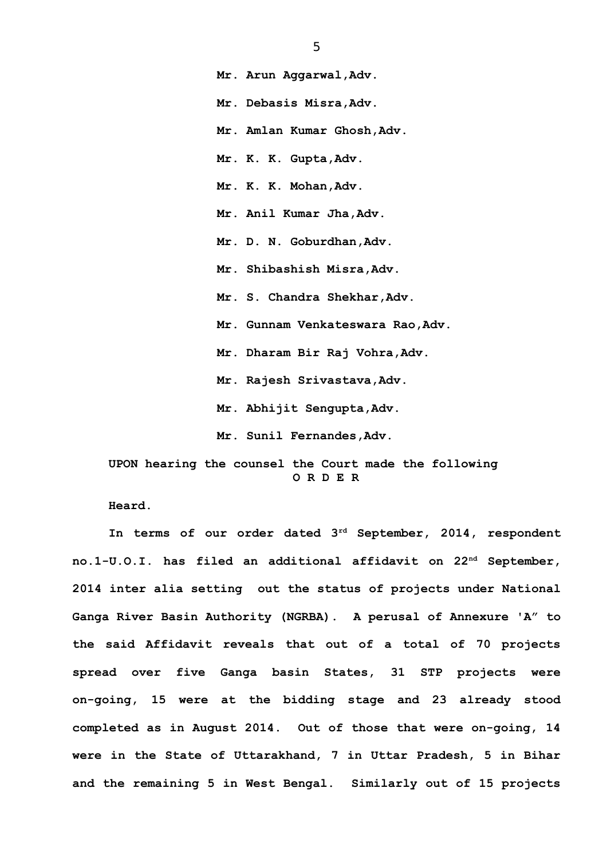**Mr. Arun Aggarwal,Adv. Mr. Debasis Misra,Adv. Mr. Amlan Kumar Ghosh,Adv. Mr. K. K. Gupta,Adv. Mr. K. K. Mohan,Adv. Mr. Anil Kumar Jha,Adv. Mr. D. N. Goburdhan,Adv. Mr. Shibashish Misra,Adv. Mr. S. Chandra Shekhar,Adv. Mr. Gunnam Venkateswara Rao,Adv. Mr. Dharam Bir Raj Vohra,Adv. Mr. Rajesh Srivastava,Adv. Mr. Abhijit Sengupta,Adv. Mr. Sunil Fernandes,Adv.**

**UPON hearing the counsel the Court made the following O R D E R**

**Heard.**

**In terms of our order dated 3rd September, 2014, respondent no.1-U.O.I. has filed an additional affidavit on 22nd September, 2014 inter alia setting out the status of projects under National Ganga River Basin Authority (NGRBA). A perusal of Annexure 'A" to the said Affidavit reveals that out of a total of 70 projects spread over five Ganga basin States, 31 STP projects were on-going, 15 were at the bidding stage and 23 already stood completed as in August 2014. Out of those that were on-going, 14 were in the State of Uttarakhand, 7 in Uttar Pradesh, 5 in Bihar and the remaining 5 in West Bengal. Similarly out of 15 projects**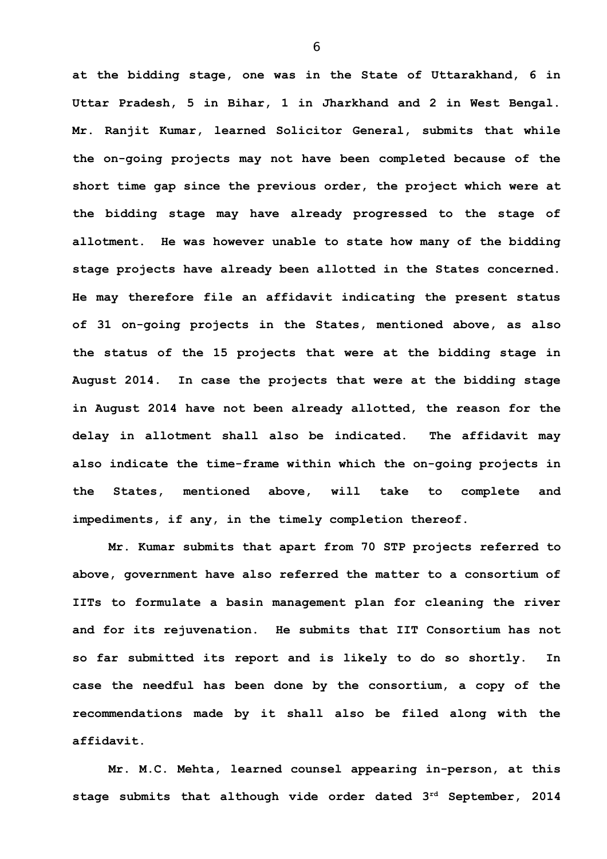**at the bidding stage, one was in the State of Uttarakhand, 6 in Uttar Pradesh, 5 in Bihar, 1 in Jharkhand and 2 in West Bengal. Mr. Ranjit Kumar, learned Solicitor General, submits that while the on-going projects may not have been completed because of the short time gap since the previous order, the project which were at the bidding stage may have already progressed to the stage of allotment. He was however unable to state how many of the bidding stage projects have already been allotted in the States concerned. He may therefore file an affidavit indicating the present status of 31 on-going projects in the States, mentioned above, as also the status of the 15 projects that were at the bidding stage in August 2014. In case the projects that were at the bidding stage in August 2014 have not been already allotted, the reason for the delay in allotment shall also be indicated. The affidavit may also indicate the time-frame within which the on-going projects in the States, mentioned above, will take to complete and impediments, if any, in the timely completion thereof.** 

**Mr. Kumar submits that apart from 70 STP projects referred to above, government have also referred the matter to a consortium of IITs to formulate a basin management plan for cleaning the river and for its rejuvenation. He submits that IIT Consortium has not so far submitted its report and is likely to do so shortly. In case the needful has been done by the consortium, a copy of the recommendations made by it shall also be filed along with the affidavit.** 

**Mr. M.C. Mehta, learned counsel appearing in-person, at this stage submits that although vide order dated 3rd September, 2014**

6